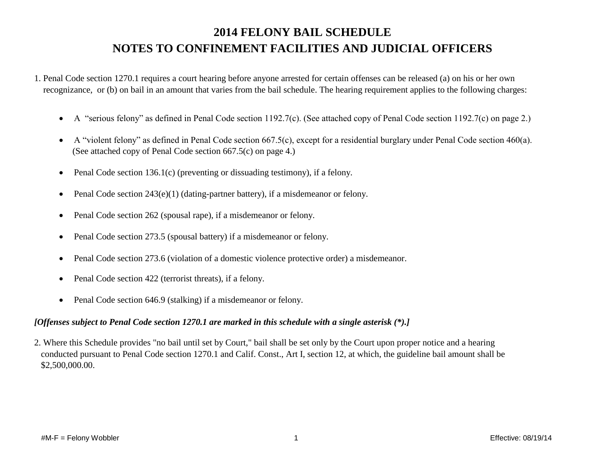## **2014 FELONY BAIL SCHEDULE NOTES TO CONFINEMENT FACILITIES AND JUDICIAL OFFICERS**

1. Penal Code section 1270.1 requires a court hearing before anyone arrested for certain offenses can be released (a) on his or her own recognizance, or (b) on bail in an amount that varies from the bail schedule. The hearing requirement applies to the following charges:

- A "serious felony" as defined in Penal Code section 1192.7(c). (See attached copy of Penal Code section 1192.7(c) on page 2.)
- A "violent felony" as defined in Penal Code section 667.5(c), except for a residential burglary under Penal Code section 460(a). (See attached copy of Penal Code section 667.5(c) on page 4.)
- Penal Code section 136.1(c) (preventing or dissuading testimony), if a felony.
- Penal Code section  $243(e)(1)$  (dating-partner battery), if a misdemeanor or felony.
- Penal Code section 262 (spousal rape), if a misdemeanor or felony.
- Penal Code section 273.5 (spousal battery) if a misdemeanor or felony.
- Penal Code section 273.6 (violation of a domestic violence protective order) a misdemeanor.
- Penal Code section 422 (terrorist threats), if a felony.
- Penal Code section 646.9 (stalking) if a misdemeanor or felony.

### *[Offenses subject to Penal Code section 1270.1 are marked in this schedule with a single asterisk (\*).]*

2. Where this Schedule provides "no bail until set by Court," bail shall be set only by the Court upon proper notice and a hearing conducted pursuant to Penal Code section 1270.1 and Calif. Const., Art I, section 12, at which, the guideline bail amount shall be \$2,500,000.00.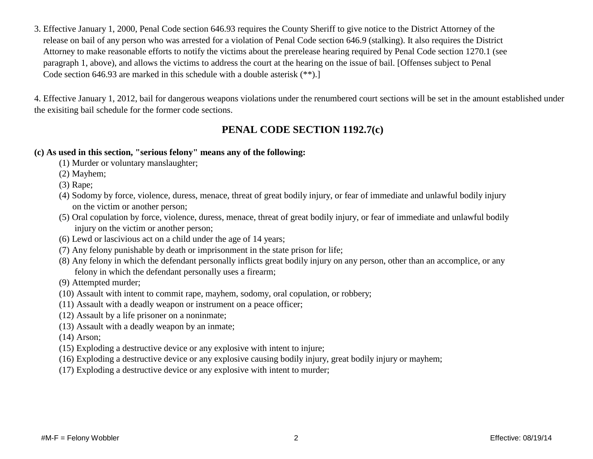3. Effective January 1, 2000, Penal Code section 646.93 requires the County Sheriff to give notice to the District Attorney of the release on bail of any person who was arrested for a violation of Penal Code section 646.9 (stalking). It also requires the District Attorney to make reasonable efforts to notify the victims about the prerelease hearing required by Penal Code section 1270.1 (see paragraph 1, above), and allows the victims to address the court at the hearing on the issue of bail. [Offenses subject to Penal Code section 646.93 are marked in this schedule with a double asterisk (\*\*).]

4. Effective January 1, 2012, bail for dangerous weapons violations under the renumbered court sections will be set in the amount established under the exisiting bail schedule for the former code sections.

## **PENAL CODE SECTION 1192.7(c)**

#### **(c) As used in this section, "serious felony" means any of the following:**

- (1) Murder or voluntary manslaughter;
- (2) Mayhem;
- (3) Rape;
- (4) Sodomy by force, violence, duress, menace, threat of great bodily injury, or fear of immediate and unlawful bodily injury on the victim or another person;
- (5) Oral copulation by force, violence, duress, menace, threat of great bodily injury, or fear of immediate and unlawful bodily injury on the victim or another person;
- (6) Lewd or lascivious act on a child under the age of 14 years;
- (7) Any felony punishable by death or imprisonment in the state prison for life;
- (8) Any felony in which the defendant personally inflicts great bodily injury on any person, other than an accomplice, or any felony in which the defendant personally uses a firearm;
- (9) Attempted murder;
- (10) Assault with intent to commit rape, mayhem, sodomy, oral copulation, or robbery;
- (11) Assault with a deadly weapon or instrument on a peace officer;
- (12) Assault by a life prisoner on a noninmate;
- (13) Assault with a deadly weapon by an inmate;
- (14) Arson;
- (15) Exploding a destructive device or any explosive with intent to injure;
- (16) Exploding a destructive device or any explosive causing bodily injury, great bodily injury or mayhem;
- (17) Exploding a destructive device or any explosive with intent to murder;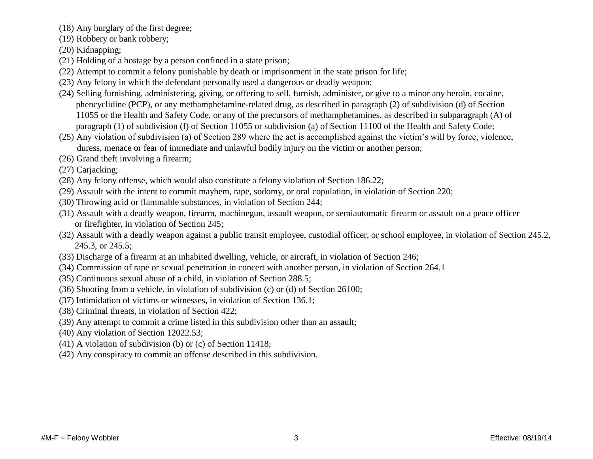- (18) Any burglary of the first degree;
- (19) Robbery or bank robbery;
- (20) Kidnapping;
- (21) Holding of a hostage by a person confined in a state prison;
- (22) Attempt to commit a felony punishable by death or imprisonment in the state prison for life;
- (23) Any felony in which the defendant personally used a dangerous or deadly weapon;
- (24) Selling furnishing, administering, giving, or offering to sell, furnish, administer, or give to a minor any heroin, cocaine, phencyclidine (PCP), or any methamphetamine-related drug, as described in paragraph (2) of subdivision (d) of Section 11055 or the Health and Safety Code, or any of the precursors of methamphetamines, as described in subparagraph (A) of paragraph (1) of subdivision (f) of Section 11055 or subdivision (a) of Section 11100 of the Health and Safety Code;
- (25) Any violation of subdivision (a) of Section 289 where the act is accomplished against the victim's will by force, violence, duress, menace or fear of immediate and unlawful bodily injury on the victim or another person;
- (26) Grand theft involving a firearm;
- (27) Carjacking;
- (28) Any felony offense, which would also constitute a felony violation of Section 186.22;
- (29) Assault with the intent to commit mayhem, rape, sodomy, or oral copulation, in violation of Section 220;
- (30) Throwing acid or flammable substances, in violation of Section 244;
- (31) Assault with a deadly weapon, firearm, machinegun, assault weapon, or semiautomatic firearm or assault on a peace officer or firefighter, in violation of Section 245;
- (32) Assault with a deadly weapon against a public transit employee, custodial officer, or school employee, in violation of Section 245.2, 245.3, or 245.5;
- (33) Discharge of a firearm at an inhabited dwelling, vehicle, or aircraft, in violation of Section 246;
- (34) Commission of rape or sexual penetration in concert with another person, in violation of Section 264.1
- (35) Continuous sexual abuse of a child, in violation of Section 288.5;
- (36) Shooting from a vehicle, in violation of subdivision (c) or (d) of Section 26100;
- (37) Intimidation of victims or witnesses, in violation of Section 136.1;
- (38) Criminal threats, in violation of Section 422;
- (39) Any attempt to commit a crime listed in this subdivision other than an assault;
- (40) Any violation of Section 12022.53;
- (41) A violation of subdivision (b) or (c) of Section 11418;
- (42) Any conspiracy to commit an offense described in this subdivision.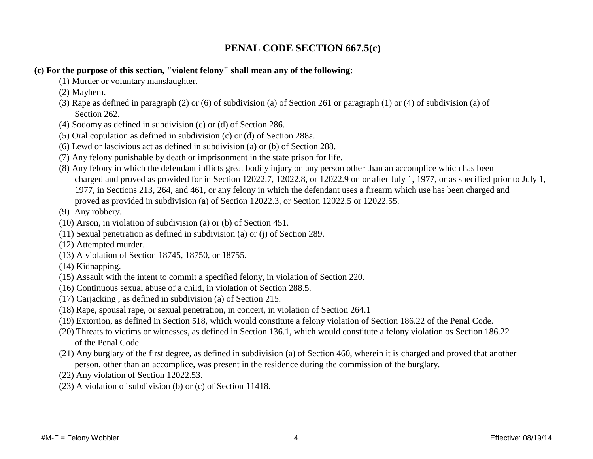## **PENAL CODE SECTION 667.5(c)**

#### **(c) For the purpose of this section, "violent felony" shall mean any of the following:**

- (1) Murder or voluntary manslaughter.
- (2) Mayhem.
- (3) Rape as defined in paragraph (2) or (6) of subdivision (a) of Section 261 or paragraph (1) or (4) of subdivision (a) of Section 262.
- (4) Sodomy as defined in subdivision (c) or (d) of Section 286.
- (5) Oral copulation as defined in subdivision (c) or (d) of Section 288a.
- (6) Lewd or lascivious act as defined in subdivision (a) or (b) of Section 288.
- (7) Any felony punishable by death or imprisonment in the state prison for life.
- (8) Any felony in which the defendant inflicts great bodily injury on any person other than an accomplice which has been charged and proved as provided for in Section 12022.7, 12022.8, or 12022.9 on or after July 1, 1977, or as specified prior to July 1, 1977, in Sections 213, 264, and 461, or any felony in which the defendant uses a firearm which use has been charged and proved as provided in subdivision (a) of Section 12022.3, or Section 12022.5 or 12022.55.
- (9) Any robbery.
- (10) Arson, in violation of subdivision (a) or (b) of Section 451.
- (11) Sexual penetration as defined in subdivision (a) or (j) of Section 289.
- (12) Attempted murder.
- (13) A violation of Section 18745, 18750, or 18755.
- (14) Kidnapping.
- (15) Assault with the intent to commit a specified felony, in violation of Section 220.
- (16) Continuous sexual abuse of a child, in violation of Section 288.5.
- (17) Carjacking , as defined in subdivision (a) of Section 215.
- (18) Rape, spousal rape, or sexual penetration, in concert, in violation of Section 264.1
- (19) Extortion, as defined in Section 518, which would constitute a felony violation of Section 186.22 of the Penal Code.
- (20) Threats to victims or witnesses, as defined in Section 136.1, which would constitute a felony violation os Section 186.22 of the Penal Code.
- (21) Any burglary of the first degree, as defined in subdivision (a) of Section 460, wherein it is charged and proved that another person, other than an accomplice, was present in the residence during the commission of the burglary.
- (22) Any violation of Section 12022.53.
- (23) A violation of subdivision (b) or (c) of Section 11418.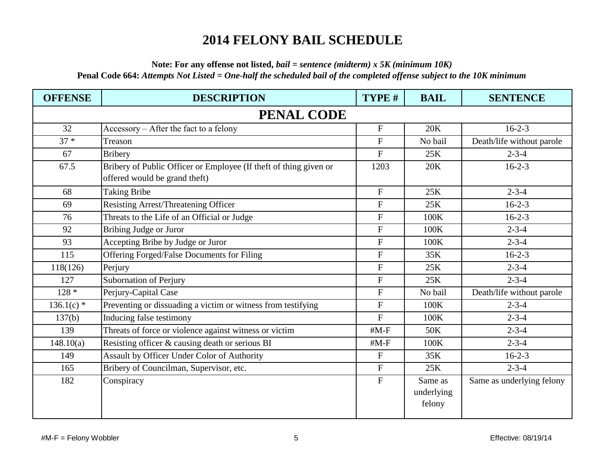# **2014 FELONY BAIL SCHEDULE**

**Note: For any offense not listed,** *bail = sentence (midterm) x 5K (minimum 10K)*

**Penal Code 664:** *Attempts Not Listed = One-half the scheduled bail of the completed offense subject to the 10K minimum* 

| <b>OFFENSE</b> | <b>DESCRIPTION</b>                                                                                 | TYPE #           | <b>BAIL</b>                     | <b>SENTENCE</b>           |  |  |
|----------------|----------------------------------------------------------------------------------------------------|------------------|---------------------------------|---------------------------|--|--|
|                | <b>PENAL CODE</b>                                                                                  |                  |                                 |                           |  |  |
| 32             | Accessory – After the fact to a felony                                                             | $\mathbf{F}$     | 20K                             | $16-2-3$                  |  |  |
| $37 *$         | Treason                                                                                            | ${\bf F}$        | No bail                         | Death/life without parole |  |  |
| 67             | <b>Bribery</b>                                                                                     | $\overline{F}$   | 25K                             | $2 - 3 - 4$               |  |  |
| 67.5           | Bribery of Public Officer or Employee (If theft of thing given or<br>offered would be grand theft) | 1203             | 20K                             | $16-2-3$                  |  |  |
| 68             | <b>Taking Bribe</b>                                                                                | $\mathbf{F}$     | 25K                             | $2 - 3 - 4$               |  |  |
| 69             | <b>Resisting Arrest/Threatening Officer</b>                                                        | $\boldsymbol{F}$ | 25K                             | $16 - 2 - 3$              |  |  |
| 76             | Threats to the Life of an Official or Judge                                                        | $\mathbf{F}$     | 100K                            | $16 - 2 - 3$              |  |  |
| 92             | Bribing Judge or Juror                                                                             | $\mathbf{F}$     | 100K                            | $2 - 3 - 4$               |  |  |
| 93             | Accepting Bribe by Judge or Juror                                                                  | $\overline{F}$   | 100K                            | $2 - 3 - 4$               |  |  |
| 115            | Offering Forged/False Documents for Filing                                                         | $\mathbf F$      | 35K                             | $16 - 2 - 3$              |  |  |
| 118(126)       | Perjury                                                                                            | $\mathbf F$      | 25K                             | $2 - 3 - 4$               |  |  |
| 127            | Subornation of Perjury                                                                             | ${\bf F}$        | 25K                             | $2 - 3 - 4$               |  |  |
| $128 *$        | Perjury-Capital Case                                                                               | ${\bf F}$        | No bail                         | Death/life without parole |  |  |
| $136.1(c)$ *   | Preventing or dissuading a victim or witness from testifying                                       | $\mathbf{F}$     | 100K                            | $2 - 3 - 4$               |  |  |
| 137(b)         | Inducing false testimony                                                                           | $\mathbf{F}$     | 100K                            | $2 - 3 - 4$               |  |  |
| 139            | Threats of force or violence against witness or victim                                             | $#M-F$           | 50K                             | $2 - 3 - 4$               |  |  |
| 148.10(a)      | Resisting officer & causing death or serious BI                                                    | $#M-F$           | 100K                            | $2 - 3 - 4$               |  |  |
| 149            | Assault by Officer Under Color of Authority                                                        | $\mathbf F$      | 35K                             | $16-2-3$                  |  |  |
| 165            | Bribery of Councilman, Supervisor, etc.                                                            | ${\bf F}$        | 25K                             | $2 - 3 - 4$               |  |  |
| 182            | Conspiracy                                                                                         | $\mathbf{F}$     | Same as<br>underlying<br>felony | Same as underlying felony |  |  |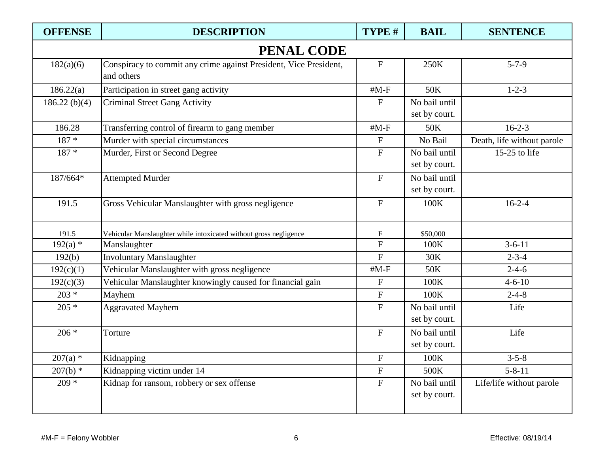| <b>OFFENSE</b>    | <b>DESCRIPTION</b>                                                              | TYPE #                    | <b>BAIL</b>                    | <b>SENTENCE</b>            |  |
|-------------------|---------------------------------------------------------------------------------|---------------------------|--------------------------------|----------------------------|--|
| <b>PENAL CODE</b> |                                                                                 |                           |                                |                            |  |
| 182(a)(6)         | Conspiracy to commit any crime against President, Vice President,<br>and others | ${\bf F}$                 | 250K                           | $5 - 7 - 9$                |  |
| 186.22(a)         | Participation in street gang activity                                           | $#M-F$                    | 50K                            | $1 - 2 - 3$                |  |
| 186.22(b)(4)      | <b>Criminal Street Gang Activity</b>                                            | $\mathbf{F}$              | No bail until<br>set by court. |                            |  |
| 186.28            | Transferring control of firearm to gang member                                  | $#M-F$                    | 50K                            | $16 - 2 - 3$               |  |
| $187 *$           | Murder with special circumstances                                               | $\boldsymbol{\mathrm{F}}$ | No Bail                        | Death, life without parole |  |
| $187 *$           | Murder, First or Second Degree                                                  | ${\bf F}$                 | No bail until<br>set by court. | 15-25 to life              |  |
| 187/664*          | <b>Attempted Murder</b>                                                         | $\mathbf F$               | No bail until<br>set by court. |                            |  |
| 191.5             | Gross Vehicular Manslaughter with gross negligence                              | $\boldsymbol{\mathrm{F}}$ | 100K                           | $16-2-4$                   |  |
| 191.5             | Vehicular Manslaughter while intoxicated without gross negligence               | $\boldsymbol{\mathrm{F}}$ | \$50,000                       |                            |  |
| $192(a)$ *        | Manslaughter                                                                    | ${\bf F}$                 | 100K                           | $3 - 6 - 11$               |  |
| 192(b)            | <b>Involuntary Manslaughter</b>                                                 | $\overline{F}$            | 30K                            | $2 - 3 - 4$                |  |
| 192(c)(1)         | Vehicular Manslaughter with gross negligence                                    | $#M-F$                    | 50K                            | $2 - 4 - 6$                |  |
| 192(c)(3)         | Vehicular Manslaughter knowingly caused for financial gain                      | ${\bf F}$                 | 100K                           | $4 - 6 - 10$               |  |
| $203 *$           | Mayhem                                                                          | $\boldsymbol{\mathrm{F}}$ | 100K                           | $2 - 4 - 8$                |  |
| $205 *$           | <b>Aggravated Mayhem</b>                                                        | $\boldsymbol{\mathrm{F}}$ | No bail until<br>set by court. | Life                       |  |
| $206 *$           | Torture                                                                         | ${\bf F}$                 | No bail until<br>set by court. | Life                       |  |
| $207(a)$ *        | Kidnapping                                                                      | $\mathbf F$               | $100\mathrm{K}$                | $3 - 5 - 8$                |  |
| $207(b)$ *        | Kidnapping victim under 14                                                      | ${\bf F}$                 | 500K                           | $5 - 8 - 11$               |  |
| $209 *$           | Kidnap for ransom, robbery or sex offense                                       | $\mathbf F$               | No bail until<br>set by court. | Life/life without parole   |  |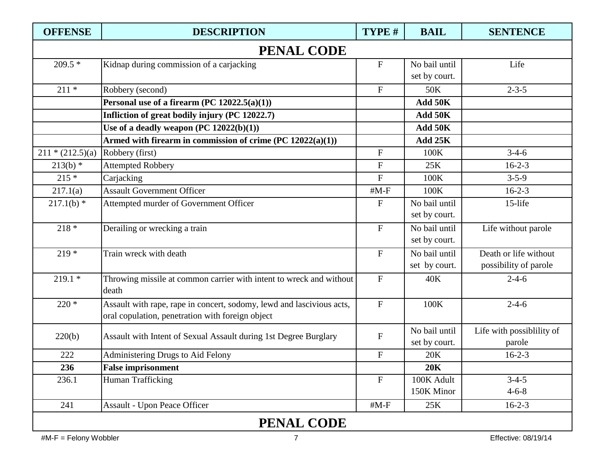| <b>OFFENSE</b>     | <b>DESCRIPTION</b>                                                                                                        | TYPE #                    | <b>BAIL</b>   | <b>SENTENCE</b>           |  |  |
|--------------------|---------------------------------------------------------------------------------------------------------------------------|---------------------------|---------------|---------------------------|--|--|
|                    | <b>PENAL CODE</b>                                                                                                         |                           |               |                           |  |  |
| $209.5*$           | Kidnap during commission of a carjacking                                                                                  | ${\bf F}$                 | No bail until | Life                      |  |  |
|                    |                                                                                                                           |                           | set by court. |                           |  |  |
| $211 *$            | Robbery (second)                                                                                                          | $\mathbf F$               | 50K           | $2 - 3 - 5$               |  |  |
|                    | Personal use of a firearm $(PC 12022.5(a)(1))$                                                                            |                           | Add 50K       |                           |  |  |
|                    | Infliction of great bodily injury (PC 12022.7)                                                                            |                           | Add 50K       |                           |  |  |
|                    | Use of a deadly weapon $(PC 12022(b)(1))$                                                                                 |                           | Add 50K       |                           |  |  |
|                    | Armed with firearm in commission of crime $(PC 12022(a)(1))$                                                              |                           | Add 25K       |                           |  |  |
| $211 * (212.5)(a)$ | Robbery (first)                                                                                                           | ${\bf F}$                 | 100K          | $3-4-6$                   |  |  |
| $213(b)$ *         | <b>Attempted Robbery</b>                                                                                                  | ${\bf F}$                 | 25K           | $16 - 2 - 3$              |  |  |
| $215 *$            | Carjacking                                                                                                                | $\mathbf{F}$              | 100K          | $3 - 5 - 9$               |  |  |
| 217.1(a)           | <b>Assault Government Officer</b>                                                                                         | $#M-F$                    | 100K          | $16 - 2 - 3$              |  |  |
| $217.1(b)$ *       | Attempted murder of Government Officer                                                                                    | $\boldsymbol{F}$          | No bail until | 15-life                   |  |  |
|                    |                                                                                                                           |                           | set by court. |                           |  |  |
| $218 *$            | Derailing or wrecking a train                                                                                             | $\boldsymbol{\mathrm{F}}$ | No bail until | Life without parole       |  |  |
|                    |                                                                                                                           |                           | set by court. |                           |  |  |
| $219*$             | Train wreck with death                                                                                                    | $\boldsymbol{\mathrm{F}}$ | No bail until | Death or life without     |  |  |
|                    |                                                                                                                           |                           | set by court. | possibility of parole     |  |  |
| $219.1*$           | Throwing missile at common carrier with intent to wreck and without                                                       | $\mathbf{F}$              | 40K           | $2 - 4 - 6$               |  |  |
|                    | death                                                                                                                     |                           |               |                           |  |  |
| $220*$             | Assault with rape, rape in concert, sodomy, lewd and lascivious acts,<br>oral copulation, penetration with foreign object | $\mathbf F$               | 100K          | $2 - 4 - 6$               |  |  |
| 220(b)             | Assault with Intent of Sexual Assault during 1st Degree Burglary                                                          | ${\bf F}$                 | No bail until | Life with possiblility of |  |  |
|                    |                                                                                                                           |                           | set by court. | parole                    |  |  |
| 222                | Administering Drugs to Aid Felony                                                                                         | ${\bf F}$                 | 20K           | $16 - 2 - 3$              |  |  |
| 236                | <b>False imprisonment</b>                                                                                                 |                           | <b>20K</b>    |                           |  |  |
| 236.1              | Human Trafficking                                                                                                         | $\mathbf F$               | 100K Adult    | $3 - 4 - 5$               |  |  |
|                    |                                                                                                                           |                           | 150K Minor    | $4 - 6 - 8$               |  |  |
| 241                | Assault - Upon Peace Officer                                                                                              | $#M-F$                    | 25K           | $16 - 2 - 3$              |  |  |
|                    | <b>PENAL CODE</b>                                                                                                         |                           |               |                           |  |  |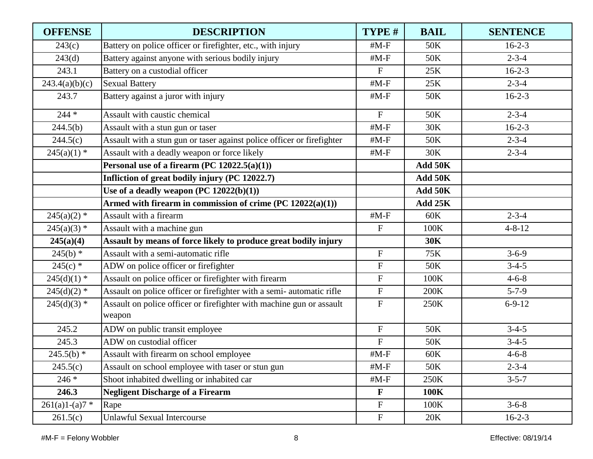| <b>OFFENSE</b>   | <b>DESCRIPTION</b>                                                             | TYPE #                    | <b>BAIL</b> | <b>SENTENCE</b> |
|------------------|--------------------------------------------------------------------------------|---------------------------|-------------|-----------------|
| 243(c)           | Battery on police officer or firefighter, etc., with injury                    | $#M-F$                    | 50K         | $16 - 2 - 3$    |
| 243(d)           | Battery against anyone with serious bodily injury                              | $#M-F$                    | 50K         | $2 - 3 - 4$     |
| 243.1            | Battery on a custodial officer                                                 | $\mathbf{F}$              | 25K         | $16 - 2 - 3$    |
| 243.4(a)(b)(c)   | <b>Sexual Battery</b>                                                          | $#M-F$                    | 25K         | $2 - 3 - 4$     |
| 243.7            | Battery against a juror with injury                                            | $#M-F$                    | 50K         | $16 - 2 - 3$    |
| $244 *$          | Assault with caustic chemical                                                  | $\mathbf{F}$              | 50K         | $2 - 3 - 4$     |
| 244.5(b)         | Assault with a stun gun or taser                                               | $#M-F$                    | 30K         | $16-2-3$        |
| 244.5(c)         | Assault with a stun gun or taser against police officer or firefighter         | $#M-F$                    | 50K         | $2 - 3 - 4$     |
| $245(a)(1)$ *    | Assault with a deadly weapon or force likely                                   | $#M-F$                    | 30K         | $2 - 3 - 4$     |
|                  | Personal use of a firearm (PC $12022.5(a)(1)$ )                                |                           | Add 50K     |                 |
|                  | Infliction of great bodily injury (PC 12022.7)                                 |                           | Add 50K     |                 |
|                  | Use of a deadly weapon $(PC 12022(b)(1))$                                      |                           | Add 50K     |                 |
|                  | Armed with firearm in commission of crime $(PC 12022(a)(1))$                   |                           | Add 25K     |                 |
| $245(a)(2)$ *    | Assault with a firearm                                                         | $#M-F$                    | 60K         | $2 - 3 - 4$     |
| $245(a)(3)$ *    | Assault with a machine gun                                                     | $\boldsymbol{\mathrm{F}}$ | 100K        | $4 - 8 - 12$    |
| 245(a)(4)        | Assault by means of force likely to produce great bodily injury                |                           | <b>30K</b>  |                 |
| $245(b)$ *       | Assault with a semi-automatic rifle                                            | ${\bf F}$                 | 75K         | $3 - 6 - 9$     |
| $245(c)$ *       | ADW on police officer or firefighter                                           | ${\bf F}$                 | 50K         | $3-4-5$         |
| $245(d)(1)$ *    | Assault on police officer or firefighter with firearm                          | $\boldsymbol{F}$          | 100K        | $4 - 6 - 8$     |
| $245(d)(2)$ *    | Assault on police officer or firefighter with a semi-automatic rifle           | $\boldsymbol{\mathrm{F}}$ | 200K        | $5 - 7 - 9$     |
| $245(d)(3)$ *    | Assault on police officer or firefighter with machine gun or assault<br>weapon | $\mathbf{F}$              | 250K        | $6 - 9 - 12$    |
| 245.2            | ADW on public transit employee                                                 | $\boldsymbol{\mathrm{F}}$ | 50K         | $3-4-5$         |
| 245.3            | ADW on custodial officer                                                       | $\overline{F}$            | 50K         | $3-4-5$         |
| $245.5(b)$ *     | Assault with firearm on school employee                                        | $#M-F$                    | 60K         | $4 - 6 - 8$     |
| 245.5(c)         | Assault on school employee with taser or stun gun                              | $#M-F$                    | 50K         | $2 - 3 - 4$     |
| $246*$           | Shoot inhabited dwelling or inhabited car                                      | $#M-F$                    | 250K        | $3 - 5 - 7$     |
| 246.3            | <b>Negligent Discharge of a Firearm</b>                                        | $\mathbf{F}$              | 100K        |                 |
| $261(a)1-(a)7$ * | Rape                                                                           | $\boldsymbol{\mathrm{F}}$ | 100K        | $3 - 6 - 8$     |
| 261.5(c)         | <b>Unlawful Sexual Intercourse</b>                                             | ${\bf F}$                 | 20K         | $16-2-3$        |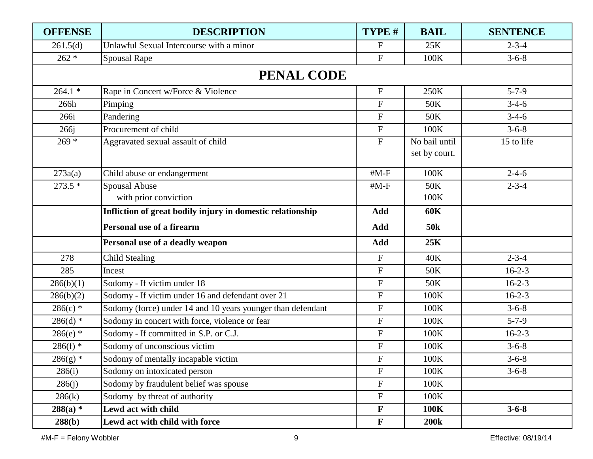| <b>OFFENSE</b> | <b>DESCRIPTION</b>                                          | TYPE #                    | <b>BAIL</b>                    | <b>SENTENCE</b> |
|----------------|-------------------------------------------------------------|---------------------------|--------------------------------|-----------------|
| 261.5(d)       | Unlawful Sexual Intercourse with a minor                    | $\mathbf{F}$              | 25K                            | $2 - 3 - 4$     |
| $262 *$        | <b>Spousal Rape</b>                                         | ${\bf F}$                 | 100K                           | $3 - 6 - 8$     |
|                | <b>PENAL CODE</b>                                           |                           |                                |                 |
| $264.1*$       | Rape in Concert w/Force & Violence                          | $\mathbf F$               | 250K                           | $5 - 7 - 9$     |
| 266h           | Pimping                                                     | $\mathbf F$               | 50K                            | $3-4-6$         |
| 266i           | Pandering                                                   | $\boldsymbol{\mathrm{F}}$ | 50K                            | $3-4-6$         |
| 266j           | Procurement of child                                        | ${\bf F}$                 | 100K                           | $3 - 6 - 8$     |
| $269 *$        | Aggravated sexual assault of child                          | ${\bf F}$                 | No bail until<br>set by court. | 15 to life      |
| 273a(a)        | Child abuse or endangerment                                 | $#M-F$                    | 100K                           | $2 - 4 - 6$     |
| $273.5*$       | Spousal Abuse                                               | $#M-F$                    | 50K                            | $2 - 3 - 4$     |
|                | with prior conviction                                       |                           | 100K                           |                 |
|                | Infliction of great bodily injury in domestic relationship  | Add                       | <b>60K</b>                     |                 |
|                | Personal use of a firearm                                   | Add                       | 50 <sub>k</sub>                |                 |
|                | Personal use of a deadly weapon                             | Add                       | 25K                            |                 |
| 278            | <b>Child Stealing</b>                                       | $\mathbf F$               | 40K                            | $2 - 3 - 4$     |
| 285            | Incest                                                      | $\mathbf F$               | 50K                            | $16 - 2 - 3$    |
| 286(b)(1)      | Sodomy - If victim under 18                                 | $\boldsymbol{\mathrm{F}}$ | 50K                            | $16 - 2 - 3$    |
| 286(b)(2)      | Sodomy - If victim under 16 and defendant over 21           | ${\bf F}$                 | 100K                           | $16 - 2 - 3$    |
| $286(c)$ *     | Sodomy (force) under 14 and 10 years younger than defendant | ${\bf F}$                 | 100K                           | $3 - 6 - 8$     |
| $286(d)$ *     | Sodomy in concert with force, violence or fear              | ${\bf F}$                 | 100K                           | $5 - 7 - 9$     |
| $286(e)$ *     | Sodomy - If committed in S.P. or C.J.                       | ${\bf F}$                 | 100K                           | $16 - 2 - 3$    |
| $286(f)$ *     | Sodomy of unconscious victim                                | ${\bf F}$                 | 100K                           | $3 - 6 - 8$     |
| $286(g)$ *     | Sodomy of mentally incapable victim                         | ${\bf F}$                 | $100\mathrm{K}$                | $3 - 6 - 8$     |
| 286(i)         | Sodomy on intoxicated person                                | $\mathbf{F}$              | 100K                           | $3 - 6 - 8$     |
| 286(j)         | Sodomy by fraudulent belief was spouse                      | ${\bf F}$                 | 100K                           |                 |
| 286(k)         | Sodomy by threat of authority                               | $\boldsymbol{\mathrm{F}}$ | 100K                           |                 |
| $288(a)$ *     | Lewd act with child                                         | $\mathbf{F}$              | 100K                           | $3 - 6 - 8$     |
| 288(b)         | Lewd act with child with force                              | $\mathbf{F}$              | <b>200k</b>                    |                 |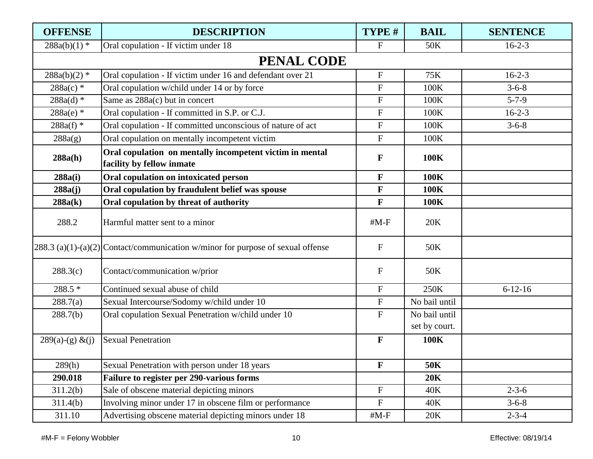| <b>OFFENSE</b>     | <b>DESCRIPTION</b>                                                                    | TYPE #                    | <b>BAIL</b>                    | <b>SENTENCE</b> |
|--------------------|---------------------------------------------------------------------------------------|---------------------------|--------------------------------|-----------------|
| $288a(b)(1)$ *     | Oral copulation - If victim under 18                                                  | $\mathbf{F}$              | 50K                            | $16 - 2 - 3$    |
|                    | <b>PENAL CODE</b>                                                                     |                           |                                |                 |
| $288a(b)(2)$ *     | Oral copulation - If victim under 16 and defendant over 21                            | ${\bf F}$                 | 75K                            | $16 - 2 - 3$    |
| $288a(c)$ *        | Oral copulation w/child under 14 or by force                                          | $\mathbf{F}$              | 100K                           | $3 - 6 - 8$     |
| $288a(d)$ *        | Same as 288a(c) but in concert                                                        | $\boldsymbol{\mathrm{F}}$ | 100K                           | $5 - 7 - 9$     |
| $288a(e)$ *        | Oral copulation - If committed in S.P. or C.J.                                        | ${\bf F}$                 | 100K                           | $16-2-3$        |
| $288a(f)$ *        | Oral copulation - If committed unconscious of nature of act                           | $\mathbf F$               | 100K                           | $3 - 6 - 8$     |
| 288a(g)            | Oral copulation on mentally incompetent victim                                        | $\boldsymbol{F}$          | 100K                           |                 |
| 288a(h)            | Oral copulation on mentally incompetent victim in mental<br>facility by fellow inmate | $\mathbf F$               | 100K                           |                 |
| 288a(i)            | Oral copulation on intoxicated person                                                 | $\mathbf F$               | 100K                           |                 |
| 288a(j)            | Oral copulation by fraudulent belief was spouse                                       | F                         | 100K                           |                 |
| 288a(k)            | Oral copulation by threat of authority                                                | F                         | 100K                           |                 |
| 288.2              | Harmful matter sent to a minor                                                        | $#M-F$                    | 20K                            |                 |
|                    | 288.3 (a)(1)-(a)(2) Contact/communication w/minor for purpose of sexual offense       | $\mathbf F$               | 50K                            |                 |
| 288.3(c)           | Contact/communication w/prior                                                         | $\boldsymbol{F}$          | 50K                            |                 |
| 288.5 *            | Continued sexual abuse of child                                                       | ${\bf F}$                 | 250K                           | $6 - 12 - 16$   |
| 288.7(a)           | Sexual Intercourse/Sodomy w/child under 10                                            | ${\bf F}$                 | No bail until                  |                 |
| 288.7(b)           | Oral copulation Sexual Penetration w/child under 10                                   | ${\bf F}$                 | No bail until<br>set by court. |                 |
| $289(a)-(g) & (j)$ | <b>Sexual Penetration</b>                                                             | $\mathbf F$               | 100K                           |                 |
| 289(h)             | Sexual Penetration with person under 18 years                                         | $\mathbf{F}$              | <b>50K</b>                     |                 |
| 290.018            | Failure to register per 290-various forms                                             |                           | <b>20K</b>                     |                 |
| 311.2(b)           | Sale of obscene material depicting minors                                             | $\boldsymbol{\mathrm{F}}$ | 40K                            | $2 - 3 - 6$     |
| 311.4(b)           | Involving minor under 17 in obscene film or performance                               | $\boldsymbol{\mathrm{F}}$ | 40K                            | $3 - 6 - 8$     |
| 311.10             | Advertising obscene material depicting minors under 18                                | $#M-F$                    | 20K                            | $2 - 3 - 4$     |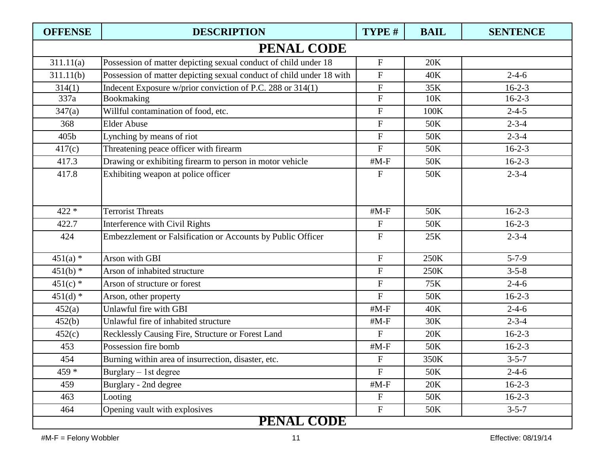| <b>OFFENSE</b> | <b>DESCRIPTION</b>                                                   | TYPE #                    | <b>BAIL</b> | <b>SENTENCE</b> |
|----------------|----------------------------------------------------------------------|---------------------------|-------------|-----------------|
|                | <b>PENAL CODE</b>                                                    |                           |             |                 |
| 311.11(a)      | Possession of matter depicting sexual conduct of child under 18      | $\boldsymbol{\mathrm{F}}$ | 20K         |                 |
| 311.11(b)      | Possession of matter depicting sexual conduct of child under 18 with | $\mathbf{F}$              | 40K         | $2 - 4 - 6$     |
| 314(1)         | Indecent Exposure w/prior conviction of P.C. 288 or 314(1)           | ${\bf F}$                 | 35K         | $16 - 2 - 3$    |
| 337a           | Bookmaking                                                           | ${\bf F}$                 | 10K         | $16 - 2 - 3$    |
| 347(a)         | Willful contamination of food, etc.                                  | $\mathbf F$               | 100K        | $2 - 4 - 5$     |
| 368            | <b>Elder Abuse</b>                                                   | $\boldsymbol{\mathrm{F}}$ | 50K         | $2 - 3 - 4$     |
| 405b           | Lynching by means of riot                                            | ${\bf F}$                 | 50K         | $2 - 3 - 4$     |
| 417(c)         | Threatening peace officer with firearm                               | $\boldsymbol{F}$          | 50K         | $16 - 2 - 3$    |
| 417.3          | Drawing or exhibiting firearm to person in motor vehicle             | $#M-F$                    | 50K         | $16 - 2 - 3$    |
| 417.8          | Exhibiting weapon at police officer                                  | $\mathbf{F}$              | 50K         | $2 - 3 - 4$     |
| $422 *$        | <b>Terrorist Threats</b>                                             | $#M-F$                    | 50K         | $16 - 2 - 3$    |
| 422.7          | <b>Interference with Civil Rights</b>                                | $\boldsymbol{F}$          | 50K         | $16 - 2 - 3$    |
| 424            | Embezzlement or Falsification or Accounts by Public Officer          | $\mathbf{F}$              | 25K         | $2 - 3 - 4$     |
| $451(a)$ *     | Arson with GBI                                                       | $\mathbf{F}$              | 250K        | $5 - 7 - 9$     |
| $451(b)$ *     | Arson of inhabited structure                                         | ${\bf F}$                 | 250K        | $3 - 5 - 8$     |
| $451(c)$ *     | Arson of structure or forest                                         | ${\bf F}$                 | 75K         | $2 - 4 - 6$     |
| $451(d)$ *     | Arson, other property                                                | $\mathbf{F}$              | 50K         | $16 - 2 - 3$    |
| 452(a)         | Unlawful fire with GBI                                               | $#M-F$                    | 40K         | $2 - 4 - 6$     |
| 452(b)         | Unlawful fire of inhabited structure                                 | $#M-F$                    | 30K         | $2 - 3 - 4$     |
| 452(c)         | Recklessly Causing Fire, Structure or Forest Land                    | $\mathbf{F}$              | 20K         | $16 - 2 - 3$    |
| 453            | Possession fire bomb                                                 | $#M-F$                    | 50K         | $16 - 2 - 3$    |
| 454            | Burning within area of insurrection, disaster, etc.                  | $\boldsymbol{\mathrm{F}}$ | 350K        | $3 - 5 - 7$     |
| $459 *$        | Burglary $-1$ st degree                                              | $\mathbf{F}$              | 50K         | $2 - 4 - 6$     |
| 459            | Burglary - 2nd degree                                                | $#M-F$                    | 20K         | $16-2-3$        |
| 463            | Looting                                                              | $\mathbf F$               | 50K         | $16-2-3$        |
| 464            | Opening vault with explosives                                        | $\boldsymbol{\mathrm{F}}$ | 50K         | $3 - 5 - 7$     |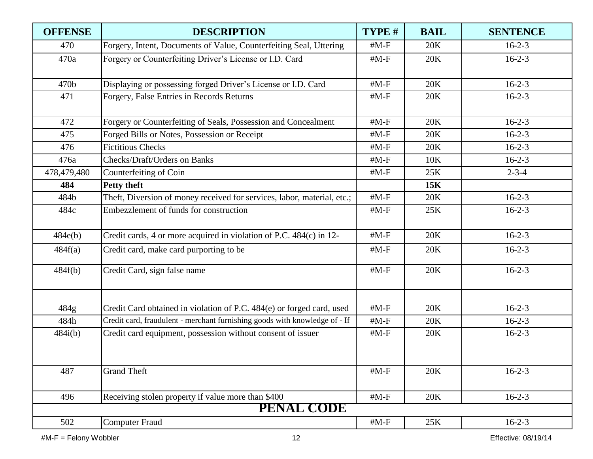| <b>OFFENSE</b> | <b>DESCRIPTION</b>                                                         | TYPE # | <b>BAIL</b> | <b>SENTENCE</b> |
|----------------|----------------------------------------------------------------------------|--------|-------------|-----------------|
| 470            | Forgery, Intent, Documents of Value, Counterfeiting Seal, Uttering         | $#M-F$ | 20K         | $16-2-3$        |
| 470a           | Forgery or Counterfeiting Driver's License or I.D. Card                    | $#M-F$ | 20K         | $16-2-3$        |
| 470b           | Displaying or possessing forged Driver's License or I.D. Card              | $#M-F$ | 20K         | $16-2-3$        |
| 471            | Forgery, False Entries in Records Returns                                  | $#M-F$ | 20K         | $16-2-3$        |
| 472            | Forgery or Counterfeiting of Seals, Possession and Concealment             | $#M-F$ | 20K         | $16 - 2 - 3$    |
| 475            | Forged Bills or Notes, Possession or Receipt                               | $#M-F$ | 20K         | $16-2-3$        |
| 476            | <b>Fictitious Checks</b>                                                   | $#M-F$ | 20K         | $16-2-3$        |
| 476a           | <b>Checks/Draft/Orders on Banks</b>                                        | $#M-F$ | 10K         | $16-2-3$        |
| 478,479,480    | Counterfeiting of Coin                                                     | $#M-F$ | 25K         | $2 - 3 - 4$     |
| 484            | <b>Petty theft</b>                                                         |        | 15K         |                 |
| 484b           | Theft, Diversion of money received for services, labor, material, etc.;    | $#M-F$ | 20K         | $16-2-3$        |
| 484c           | Embezzlement of funds for construction                                     | $#M-F$ | 25K         | $16-2-3$        |
| 484e(b)        | Credit cards, 4 or more acquired in violation of P.C. 484(c) in 12-        | $#M-F$ | 20K         | $16-2-3$        |
| 484f(a)        | Credit card, make card purporting to be                                    | $#M-F$ | 20K         | $16-2-3$        |
| 484f(b)        | Credit Card, sign false name                                               | $#M-F$ | 20K         | $16-2-3$        |
| 484g           | Credit Card obtained in violation of P.C. 484(e) or forged card, used      | $#M-F$ | 20K         | $16-2-3$        |
| 484h           | Credit card, fraudulent - merchant furnishing goods with knowledge of - If | $#M-F$ | 20K         | $16-2-3$        |
| 484i(b)        | Credit card equipment, possession without consent of issuer                | $#M-F$ | 20K         | $16-2-3$        |
| 487            | <b>Grand Theft</b>                                                         | $#M-F$ | 20K         | $16-2-3$        |
| 496            | Receiving stolen property if value more than \$400                         | $#M-F$ | 20K         | $16-2-3$        |
|                | <b>PENAL CODE</b>                                                          |        |             |                 |
| 502            | <b>Computer Fraud</b>                                                      | $#M-F$ | 25K         | $16-2-3$        |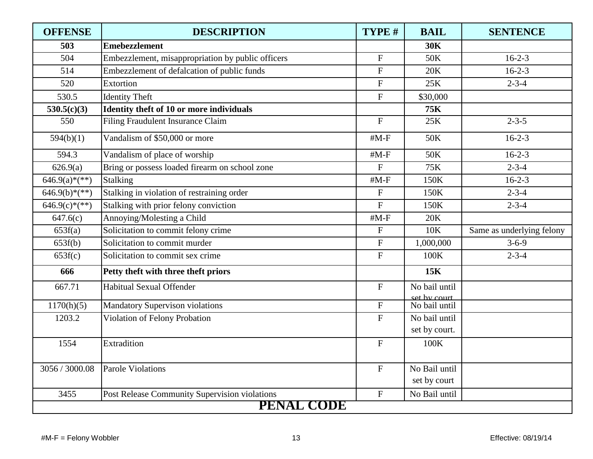| <b>OFFENSE</b>  | <b>DESCRIPTION</b>                                | TYPE #                    | <b>BAIL</b>                   | <b>SENTENCE</b>           |  |  |
|-----------------|---------------------------------------------------|---------------------------|-------------------------------|---------------------------|--|--|
| 503             | <b>Emebezzlement</b>                              |                           | <b>30K</b>                    |                           |  |  |
| 504             | Embezzlement, misappropriation by public officers | $\mathbf{F}$              | 50K                           | $16 - 2 - 3$              |  |  |
| 514             | Embezzlement of defalcation of public funds       | $\boldsymbol{\mathrm{F}}$ | 20K                           | $16 - 2 - 3$              |  |  |
| 520             | Extortion                                         | $\overline{F}$            | 25K                           | $2 - 3 - 4$               |  |  |
| 530.5           | <b>Identity Theft</b>                             | $\mathbf F$               | \$30,000                      |                           |  |  |
| 530.5(c)(3)     | Identity theft of 10 or more individuals          |                           | <b>75K</b>                    |                           |  |  |
| 550             | Filing Fraudulent Insurance Claim                 | $\mathbf{F}$              | 25K                           | $2 - 3 - 5$               |  |  |
| 594(b)(1)       | Vandalism of \$50,000 or more                     | $#M-F$                    | 50K                           | $16 - 2 - 3$              |  |  |
| 594.3           | Vandalism of place of worship                     | $#M-F$                    | 50K                           | $16 - 2 - 3$              |  |  |
| 626.9(a)        | Bring or possess loaded firearm on school zone    | $\overline{F}$            | 75K                           | $2 - 3 - 4$               |  |  |
| $646.9(a)*(**)$ | Stalking                                          | $#M-F$                    | 150K                          | $16 - 2 - 3$              |  |  |
| $646.9(b)*(**)$ | Stalking in violation of restraining order        | $\overline{F}$            | 150K                          | $2 - 3 - 4$               |  |  |
| $646.9(c)*(**)$ | Stalking with prior felony conviction             | $\overline{F}$            | 150K                          | $2 - 3 - 4$               |  |  |
| 647.6(c)        | Annoying/Molesting a Child                        | $#M-F$                    | 20K                           |                           |  |  |
| 653f(a)         | Solicitation to commit felony crime               | $\mathbf F$               | <b>10K</b>                    | Same as underlying felony |  |  |
| 653f(b)         | Solicitation to commit murder                     | ${\bf F}$                 | 1,000,000                     | $3 - 6 - 9$               |  |  |
| 653f(c)         | Solicitation to commit sex crime                  | $\mathbf{F}$              | 100K                          | $2 - 3 - 4$               |  |  |
| 666             | Petty theft with three theft priors               |                           | 15K                           |                           |  |  |
| 667.71          | Habitual Sexual Offender                          | $\mathbf F$               | No bail until<br>set by court |                           |  |  |
| 1170(h)(5)      | <b>Mandatory Supervison violations</b>            | ${\bf F}$                 | No bail until                 |                           |  |  |
| 1203.2          | Violation of Felony Probation                     | $\mathbf{F}$              | No bail until                 |                           |  |  |
|                 |                                                   |                           | set by court.                 |                           |  |  |
| 1554            | Extradition                                       | $\mathbf{F}$              | 100K                          |                           |  |  |
| 3056 / 3000.08  | <b>Parole Violations</b>                          | $\boldsymbol{\mathrm{F}}$ | No Bail until                 |                           |  |  |
|                 |                                                   |                           | set by court                  |                           |  |  |
| 3455            | Post Release Community Supervision violations     | $\boldsymbol{\mathrm{F}}$ | No Bail until                 |                           |  |  |
|                 | <b>PENAL CODE</b>                                 |                           |                               |                           |  |  |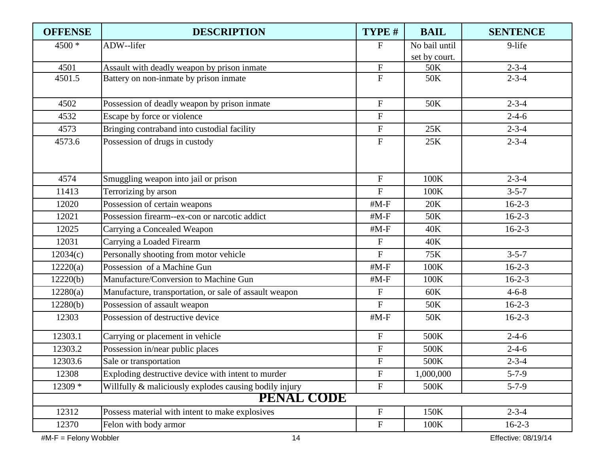| <b>OFFENSE</b> | <b>DESCRIPTION</b>                                     | TYPE #                    | <b>BAIL</b>   | <b>SENTENCE</b> |
|----------------|--------------------------------------------------------|---------------------------|---------------|-----------------|
| 4500 *         | ADW--lifer                                             | $\mathbf F$               | No bail until | 9-life          |
|                |                                                        |                           | set by court. |                 |
| 4501           | Assault with deadly weapon by prison inmate            | ${\bf F}$                 | 50K           | $2 - 3 - 4$     |
| 4501.5         | Battery on non-inmate by prison inmate                 | $\mathbf F$               | 50K           | $2 - 3 - 4$     |
| 4502           | Possession of deadly weapon by prison inmate           | $\mathbf F$               | 50K           | $2 - 3 - 4$     |
| 4532           | Escape by force or violence                            | $\mathbf{F}$              |               | $2 - 4 - 6$     |
| 4573           | Bringing contraband into custodial facility            | $\mathbf F$               | 25K           | $2 - 3 - 4$     |
| 4573.6         | Possession of drugs in custody                         | ${\bf F}$                 | 25K           | $2 - 3 - 4$     |
| 4574           | Smuggling weapon into jail or prison                   | $\mathbf{F}$              | 100K          | $2 - 3 - 4$     |
| 11413          | Terrorizing by arson                                   | $\mathbf F$               | 100K          | $3 - 5 - 7$     |
| 12020          | Possession of certain weapons                          | $#M-F$                    | 20K           | $16-2-3$        |
| 12021          | Possession firearm--ex-con or narcotic addict          | $#M-F$                    | 50K           | $16-2-3$        |
| 12025          | Carrying a Concealed Weapon                            | $#M-F$                    | 40K           | $16-2-3$        |
| 12031          | Carrying a Loaded Firearm                              | $\overline{F}$            | 40K           |                 |
| 12034(c)       | Personally shooting from motor vehicle                 | $\mathbf F$               | 75K           | $3 - 5 - 7$     |
| 12220(a)       | Possession of a Machine Gun                            | $#M-F$                    | 100K          | $16-2-3$        |
| 12220(b)       | Manufacture/Conversion to Machine Gun                  | $#M-F$                    | 100K          | $16-2-3$        |
| 12280(a)       | Manufacture, transportation, or sale of assault weapon | ${\bf F}$                 | 60K           | $4 - 6 - 8$     |
| 12280(b)       | Possession of assault weapon                           | $\overline{F}$            | 50K           | $16-2-3$        |
| 12303          | Possession of destructive device                       | $#M-F$                    | 50K           | $16-2-3$        |
| 12303.1        | Carrying or placement in vehicle                       | ${\bf F}$                 | 500K          | $2 - 4 - 6$     |
| 12303.2        | Possession in/near public places                       | ${\bf F}$                 | 500K          | $2 - 4 - 6$     |
| 12303.6        | Sale or transportation                                 | $\boldsymbol{\mathrm{F}}$ | 500K          | $2 - 3 - 4$     |
| 12308          | Exploding destructive device with intent to murder     | $\boldsymbol{\mathrm{F}}$ | 1,000,000     | $5 - 7 - 9$     |
| 12309 *        | Willfully & maliciously explodes causing bodily injury | $\mathbf F$               | 500K          | $5 - 7 - 9$     |
|                | <b>PENAL CODE</b>                                      |                           |               |                 |
| 12312          | Possess material with intent to make explosives        | $\mathbf F$               | 150K          | $2 - 3 - 4$     |
| 12370          | Felon with body armor                                  | ${\bf F}$                 | 100K          | $16 - 2 - 3$    |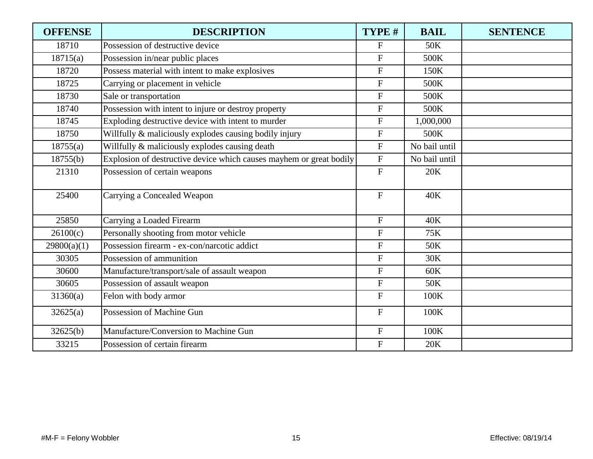| <b>OFFENSE</b> | <b>DESCRIPTION</b>                                                  | TYPE #         | <b>BAIL</b>   | <b>SENTENCE</b> |
|----------------|---------------------------------------------------------------------|----------------|---------------|-----------------|
| 18710          | Possession of destructive device                                    | $\mathbf{F}$   | 50K           |                 |
| 18715(a)       | Possession in/near public places                                    | $\mathbf F$    | 500K          |                 |
| 18720          | Possess material with intent to make explosives                     | ${\bf F}$      | 150K          |                 |
| 18725          | Carrying or placement in vehicle                                    | $\overline{F}$ | 500K          |                 |
| 18730          | Sale or transportation                                              | $\overline{F}$ | 500K          |                 |
| 18740          | Possession with intent to injure or destroy property                | ${\bf F}$      | 500K          |                 |
| 18745          | Exploding destructive device with intent to murder                  | ${\bf F}$      | 1,000,000     |                 |
| 18750          | Willfully & maliciously explodes causing bodily injury              | $\mathbf F$    | 500K          |                 |
| 18755(a)       | Willfully & maliciously explodes causing death                      | $\overline{F}$ | No bail until |                 |
| 18755(b)       | Explosion of destructive device which causes mayhem or great bodily | ${\bf F}$      | No bail until |                 |
| 21310          | Possession of certain weapons                                       | $\mathbf F$    | 20K           |                 |
| 25400          | Carrying a Concealed Weapon                                         | $\mathbf F$    | 40K           |                 |
| 25850          | Carrying a Loaded Firearm                                           | $\mathbf{F}$   | 40K           |                 |
| 26100(c)       | Personally shooting from motor vehicle                              | $\mathbf F$    | 75K           |                 |
| 29800(a)(1)    | Possession firearm - ex-con/narcotic addict                         | $\overline{F}$ | 50K           |                 |
| 30305          | Possession of ammunition                                            | $\mathbf F$    | 30K           |                 |
| 30600          | Manufacture/transport/sale of assault weapon                        | $\mathbf F$    | 60K           |                 |
| 30605          | Possession of assault weapon                                        | ${\bf F}$      | 50K           |                 |
| 31360(a)       | Felon with body armor                                               | $\mathbf{F}$   | 100K          |                 |
| 32625(a)       | Possession of Machine Gun                                           | $\mathbf{F}$   | 100K          |                 |
| 32625(b)       | Manufacture/Conversion to Machine Gun                               | ${\bf F}$      | 100K          |                 |
| 33215          | Possession of certain firearm                                       | $\mathbf F$    | 20K           |                 |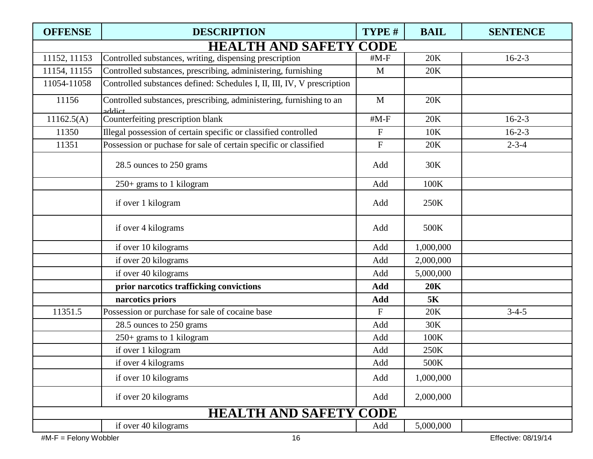| <b>OFFENSE</b> | <b>DESCRIPTION</b>                                                            | TYPE #       | <b>BAIL</b> | <b>SENTENCE</b> |
|----------------|-------------------------------------------------------------------------------|--------------|-------------|-----------------|
|                | <b>HEALTH AND SAFETY CODE</b>                                                 |              |             |                 |
| 11152, 11153   | Controlled substances, writing, dispensing prescription                       | $#M-F$       | 20K         | $16-2-3$        |
| 11154, 11155   | Controlled substances, prescribing, administering, furnishing                 | M            | 20K         |                 |
| 11054-11058    | Controlled substances defined: Schedules I, II, III, IV, V prescription       |              |             |                 |
| 11156          | Controlled substances, prescribing, administering, furnishing to an<br>addict | $\mathbf{M}$ | 20K         |                 |
| 11162.5(A)     | Counterfeiting prescription blank                                             | $#M-F$       | 20K         | $16-2-3$        |
| 11350          | Illegal possession of certain specific or classified controlled               | ${\bf F}$    | 10K         | $16 - 2 - 3$    |
| 11351          | Possession or puchase for sale of certain specific or classified              | $\mathbf F$  | 20K         | $2 - 3 - 4$     |
|                | 28.5 ounces to 250 grams                                                      | Add          | 30K         |                 |
|                | 250+ grams to 1 kilogram                                                      | Add          | 100K        |                 |
|                | if over 1 kilogram                                                            | Add          | 250K        |                 |
|                | if over 4 kilograms                                                           | Add          | 500K        |                 |
|                | if over 10 kilograms                                                          | Add          | 1,000,000   |                 |
|                | if over 20 kilograms                                                          | Add          | 2,000,000   |                 |
|                | if over 40 kilograms                                                          | Add          | 5,000,000   |                 |
|                | prior narcotics trafficking convictions                                       | Add          | 20K         |                 |
|                | narcotics priors                                                              | Add          | <b>5K</b>   |                 |
| 11351.5        | Possession or purchase for sale of cocaine base                               | $\mathbf{F}$ | 20K         | $3-4-5$         |
|                | 28.5 ounces to 250 grams                                                      | Add          | 30K         |                 |
|                | 250+ grams to 1 kilogram                                                      | Add          | 100K        |                 |
|                | if over 1 kilogram                                                            | Add          | 250K        |                 |
|                | if over 4 kilograms                                                           | Add          | 500K        |                 |
|                | if over 10 kilograms                                                          | Add          | 1,000,000   |                 |
|                | if over 20 kilograms                                                          | Add          | 2,000,000   |                 |
|                | <b>HEALTH AND SAFETY CODE</b>                                                 |              |             |                 |
|                | if over 40 kilograms                                                          | Add          | 5,000,000   |                 |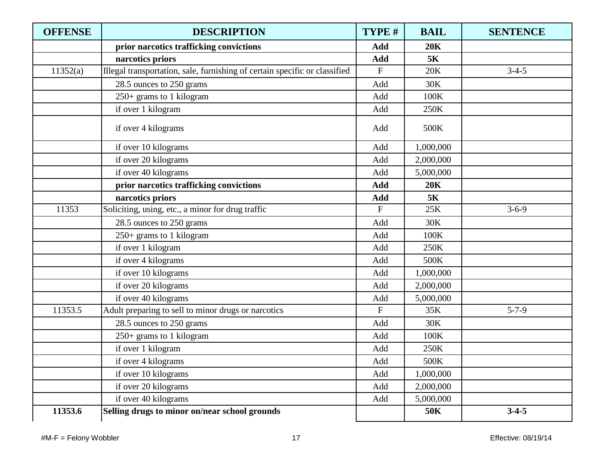| <b>OFFENSE</b> | <b>DESCRIPTION</b>                                                         | TYPE #       | <b>BAIL</b> | <b>SENTENCE</b> |
|----------------|----------------------------------------------------------------------------|--------------|-------------|-----------------|
|                | prior narcotics trafficking convictions                                    | Add          | 20K         |                 |
|                | narcotics priors                                                           | Add          | 5K          |                 |
| 11352(a)       | Illegal transportation, sale, furnishing of certain specific or classified | F            | 20K         | $3-4-5$         |
|                | 28.5 ounces to 250 grams                                                   | Add          | 30K         |                 |
|                | 250+ grams to 1 kilogram                                                   | Add          | 100K        |                 |
|                | if over 1 kilogram                                                         | Add          | 250K        |                 |
|                | if over 4 kilograms                                                        | Add          | 500K        |                 |
|                | if over 10 kilograms                                                       | Add          | 1,000,000   |                 |
|                | if over 20 kilograms                                                       | Add          | 2,000,000   |                 |
|                | if over 40 kilograms                                                       | Add          | 5,000,000   |                 |
|                | prior narcotics trafficking convictions                                    | Add          | <b>20K</b>  |                 |
|                | narcotics priors                                                           | Add          | <b>5K</b>   |                 |
| 11353          | Soliciting, using, etc., a minor for drug traffic                          | $\mathbf{F}$ | 25K         | $3 - 6 - 9$     |
|                | 28.5 ounces to 250 grams                                                   | Add          | 30K         |                 |
|                | 250+ grams to 1 kilogram                                                   | Add          | 100K        |                 |
|                | if over 1 kilogram                                                         | Add          | 250K        |                 |
|                | if over 4 kilograms                                                        | Add          | 500K        |                 |
|                | if over 10 kilograms                                                       | Add          | 1,000,000   |                 |
|                | if over 20 kilograms                                                       | Add          | 2,000,000   |                 |
|                | if over 40 kilograms                                                       | Add          | 5,000,000   |                 |
| 11353.5        | Adult preparing to sell to minor drugs or narcotics                        | $\mathbf{F}$ | 35K         | $5 - 7 - 9$     |
|                | 28.5 ounces to 250 grams                                                   | Add          | 30K         |                 |
|                | 250+ grams to 1 kilogram                                                   | Add          | 100K        |                 |
|                | if over 1 kilogram                                                         | Add          | 250K        |                 |
|                | if over 4 kilograms                                                        | Add          | 500K        |                 |
|                | if over 10 kilograms                                                       | Add          | 1,000,000   |                 |
|                | if over 20 kilograms                                                       | Add          | 2,000,000   |                 |
|                | if over 40 kilograms                                                       | Add          | 5,000,000   |                 |
| 11353.6        | Selling drugs to minor on/near school grounds                              |              | <b>50K</b>  | $3-4-5$         |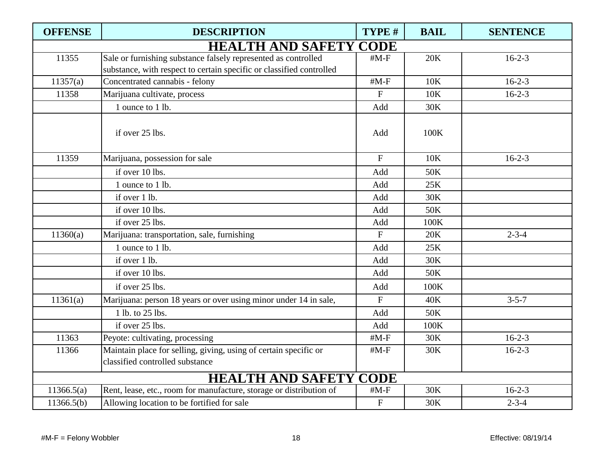| <b>OFFENSE</b> | <b>DESCRIPTION</b>                                                   | TYPE #       | <b>BAIL</b> | <b>SENTENCE</b> |
|----------------|----------------------------------------------------------------------|--------------|-------------|-----------------|
|                | <b>HEALTH AND SAFETY CODE</b>                                        |              |             |                 |
| 11355          | Sale or furnishing substance falsely represented as controlled       | $#M-F$       | 20K         | $16-2-3$        |
|                | substance, with respect to certain specific or classified controlled |              |             |                 |
| 11357(a)       | Concentrated cannabis - felony                                       | $#M-F$       | 10K         | $16 - 2 - 3$    |
| 11358          | Marijuana cultivate, process                                         | $\mathbf{F}$ | 10K         | $16-2-3$        |
|                | 1 ounce to 1 lb.                                                     | Add          | 30K         |                 |
|                | if over 25 lbs.                                                      | Add          | 100K        |                 |
| 11359          | Marijuana, possession for sale                                       | $\mathbf F$  | 10K         | $16 - 2 - 3$    |
|                | if over 10 lbs.                                                      | Add          | 50K         |                 |
|                | 1 ounce to 1 lb.                                                     | Add          | 25K         |                 |
|                | if over 1 lb.                                                        | Add          | 30K         |                 |
|                | if over 10 lbs.                                                      | Add          | 50K         |                 |
|                | if over 25 lbs.                                                      | Add          | 100K        |                 |
| 11360(a)       | Marijuana: transportation, sale, furnishing                          | $\mathbf{F}$ | 20K         | $2 - 3 - 4$     |
|                | 1 ounce to 1 lb.                                                     | Add          | 25K         |                 |
|                | if over 1 lb.                                                        | Add          | 30K         |                 |
|                | if over 10 lbs.                                                      | Add          | 50K         |                 |
|                | if over 25 lbs.                                                      | Add          | 100K        |                 |
| 11361(a)       | Marijuana: person 18 years or over using minor under 14 in sale,     | $\mathbf{F}$ | 40K         | $3 - 5 - 7$     |
|                | 1 lb. to 25 lbs.                                                     | Add          | 50K         |                 |
|                | if over 25 lbs.                                                      | Add          | 100K        |                 |
| 11363          | Peyote: cultivating, processing                                      | $#M-F$       | 30K         | $16-2-3$        |
| 11366          | Maintain place for selling, giving, using of certain specific or     | $#M-F$       | 30K         | $16-2-3$        |
|                | classified controlled substance                                      |              |             |                 |
|                | <b>HEALTH AND SAFETY CODE</b>                                        |              |             |                 |
| 11366.5(a)     | Rent, lease, etc., room for manufacture, storage or distribution of  | $#M-F$       | 30K         | $16 - 2 - 3$    |
| 11366.5(b)     | Allowing location to be fortified for sale                           | ${\bf F}$    | 30K         | $2 - 3 - 4$     |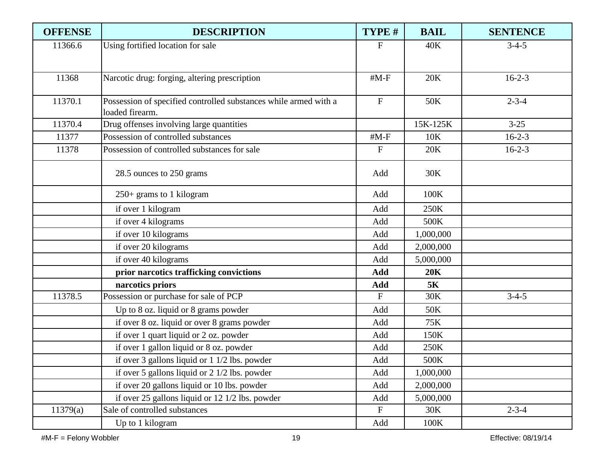| <b>OFFENSE</b> | <b>DESCRIPTION</b>                                                                  | TYPE #                    | <b>BAIL</b> | <b>SENTENCE</b> |
|----------------|-------------------------------------------------------------------------------------|---------------------------|-------------|-----------------|
| 11366.6        | Using fortified location for sale                                                   | F                         | 40K         | $3-4-5$         |
|                |                                                                                     |                           |             |                 |
| 11368          | Narcotic drug: forging, altering prescription                                       | $#M-F$                    | 20K         | $16 - 2 - 3$    |
|                |                                                                                     |                           |             |                 |
| 11370.1        | Possession of specified controlled substances while armed with a<br>loaded firearm. | $\boldsymbol{\mathrm{F}}$ | 50K         | $2 - 3 - 4$     |
| 11370.4        | Drug offenses involving large quantities                                            |                           | 15K-125K    | $3 - 25$        |
| 11377          | Possession of controlled substances                                                 | $#M-F$                    | 10K         | $16 - 2 - 3$    |
| 11378          | Possession of controlled substances for sale                                        | $\mathbf F$               | 20K         | $16 - 2 - 3$    |
|                |                                                                                     |                           |             |                 |
|                | 28.5 ounces to 250 grams                                                            | Add                       | 30K         |                 |
|                | $250+$ grams to 1 kilogram                                                          | Add                       | 100K        |                 |
|                | if over 1 kilogram                                                                  | Add                       | 250K        |                 |
|                | if over 4 kilograms                                                                 | Add                       | 500K        |                 |
|                | if over 10 kilograms                                                                | Add                       | 1,000,000   |                 |
|                | if over 20 kilograms                                                                | Add                       | 2,000,000   |                 |
|                | if over 40 kilograms                                                                | Add                       | 5,000,000   |                 |
|                | prior narcotics trafficking convictions                                             | Add                       | 20K         |                 |
|                | narcotics priors                                                                    | Add                       | <b>5K</b>   |                 |
| 11378.5        | Possession or purchase for sale of PCP                                              | $F_{\rm}$                 | 30K         | $3-4-5$         |
|                | Up to 8 oz. liquid or 8 grams powder                                                | Add                       | 50K         |                 |
|                | if over 8 oz. liquid or over 8 grams powder                                         | Add                       | 75K         |                 |
|                | if over 1 quart liquid or 2 oz. powder                                              | Add                       | 150K        |                 |
|                | if over 1 gallon liquid or 8 oz. powder                                             | Add                       | 250K        |                 |
|                | if over 3 gallons liquid or 1 1/2 lbs. powder                                       | Add                       | 500K        |                 |
|                | if over 5 gallons liquid or $2 \frac{1}{2}$ lbs. powder                             | Add                       | 1,000,000   |                 |
|                | if over 20 gallons liquid or 10 lbs. powder                                         | Add                       | 2,000,000   |                 |
|                | if over 25 gallons liquid or 12 1/2 lbs. powder                                     | Add                       | 5,000,000   |                 |
| 11379(a)       | Sale of controlled substances                                                       | $\boldsymbol{\mathrm{F}}$ | 30K         | $2 - 3 - 4$     |
|                | Up to 1 kilogram                                                                    | Add                       | 100K        |                 |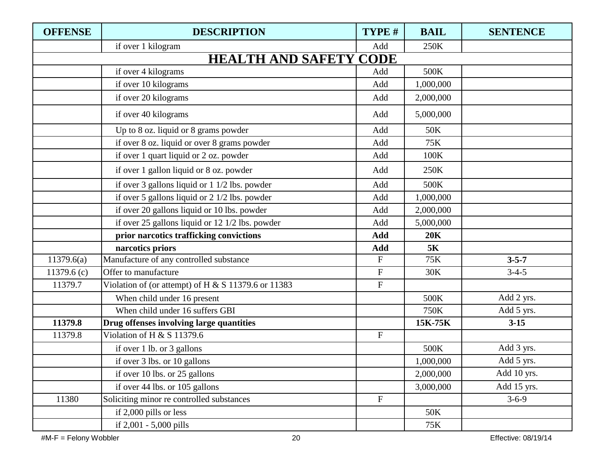| <b>OFFENSE</b> | <b>DESCRIPTION</b>                                  | TYPE #                    | <b>BAIL</b> | <b>SENTENCE</b> |
|----------------|-----------------------------------------------------|---------------------------|-------------|-----------------|
|                | if over 1 kilogram                                  | Add                       | 250K        |                 |
|                | <b>HEALTH AND SAFETY CODE</b>                       |                           |             |                 |
|                | if over 4 kilograms                                 | Add                       | 500K        |                 |
|                | if over 10 kilograms                                | Add                       | 1,000,000   |                 |
|                | if over 20 kilograms                                | Add                       | 2,000,000   |                 |
|                | if over 40 kilograms                                | Add                       | 5,000,000   |                 |
|                | Up to 8 oz. liquid or 8 grams powder                | Add                       | 50K         |                 |
|                | if over 8 oz. liquid or over 8 grams powder         | Add                       | 75K         |                 |
|                | if over 1 quart liquid or 2 oz. powder              | Add                       | 100K        |                 |
|                | if over 1 gallon liquid or 8 oz. powder             | Add                       | 250K        |                 |
|                | if over 3 gallons liquid or 1 1/2 lbs. powder       | Add                       | 500K        |                 |
|                | if over 5 gallons liquid or 2 1/2 lbs. powder       | Add                       | 1,000,000   |                 |
|                | if over 20 gallons liquid or 10 lbs. powder         | Add                       | 2,000,000   |                 |
|                | if over 25 gallons liquid or 12 1/2 lbs. powder     | Add                       | 5,000,000   |                 |
|                | prior narcotics trafficking convictions             | Add                       | 20K         |                 |
|                | narcotics priors                                    | Add                       | <b>5K</b>   |                 |
| 11379.6(a)     | Manufacture of any controlled substance             | ${\bf F}$                 | 75K         | $3 - 5 - 7$     |
| 11379.6 $(c)$  | Offer to manufacture                                | ${\bf F}$                 | 30K         | $3-4-5$         |
| 11379.7        | Violation of (or attempt) of H & S 11379.6 or 11383 | ${\bf F}$                 |             |                 |
|                | When child under 16 present                         |                           | 500K        | Add 2 yrs.      |
|                | When child under 16 suffers GBI                     |                           | 750K        | Add 5 yrs.      |
| 11379.8        | Drug offenses involving large quantities            |                           | 15K-75K     | $3 - 15$        |
| 11379.8        | Violation of H & S 11379.6                          | $\boldsymbol{\mathrm{F}}$ |             |                 |
|                | if over 1 lb. or 3 gallons                          |                           | 500K        | Add 3 yrs.      |
|                | if over 3 lbs. or 10 gallons                        |                           | 1,000,000   | Add 5 yrs.      |
|                | if over 10 lbs. or 25 gallons                       |                           | 2,000,000   | Add 10 yrs.     |
|                | if over 44 lbs. or 105 gallons                      |                           | 3,000,000   | Add 15 yrs.     |
| 11380          | Soliciting minor re controlled substances           | $\boldsymbol{\mathrm{F}}$ |             | $3 - 6 - 9$     |
|                | if 2,000 pills or less                              |                           | 50K         |                 |
|                | if 2,001 - 5,000 pills                              |                           | 75K         |                 |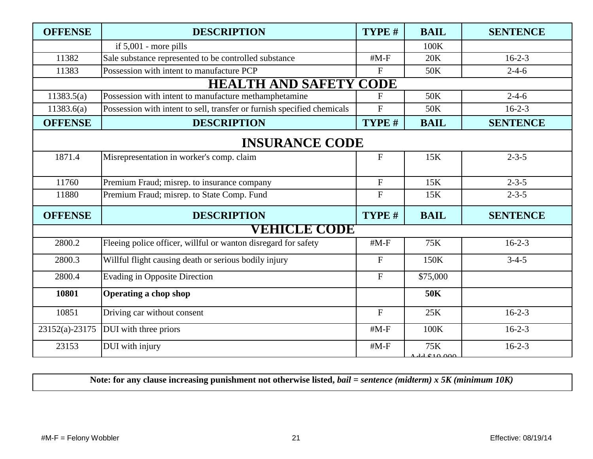| <b>OFFENSE</b> | <b>DESCRIPTION</b>                                                      | TYPE #         | <b>BAIL</b>    | <b>SENTENCE</b> |  |  |
|----------------|-------------------------------------------------------------------------|----------------|----------------|-----------------|--|--|
|                | if $5,001$ - more pills                                                 |                | 100K           |                 |  |  |
| 11382          | Sale substance represented to be controlled substance                   | $#M-F$         | 20K            | $16 - 2 - 3$    |  |  |
| 11383          | Possession with intent to manufacture PCP                               | $\overline{F}$ | 50K            | $2 - 4 - 6$     |  |  |
|                | <b>HEALTH AND SAFETY CODE</b>                                           |                |                |                 |  |  |
| 11383.5(a)     | Possession with intent to manufacture methamphetamine                   | $F_{\rm}$      | 50K            | $2 - 4 - 6$     |  |  |
| 11383.6(a)     | Possession with intent to sell, transfer or furnish specified chemicals | $\overline{F}$ | 50K            | $16-2-3$        |  |  |
| <b>OFFENSE</b> | <b>DESCRIPTION</b>                                                      | TYPE #         | <b>BAIL</b>    | <b>SENTENCE</b> |  |  |
|                | <b>INSURANCE CODE</b>                                                   |                |                |                 |  |  |
| 1871.4         | Misrepresentation in worker's comp. claim                               | $\mathbf F$    | 15K            | $2 - 3 - 5$     |  |  |
| 11760          | Premium Fraud; misrep. to insurance company                             | $\mathbf F$    | 15K            | $2 - 3 - 5$     |  |  |
| 11880          | Premium Fraud; misrep. to State Comp. Fund                              | $\overline{F}$ | 15K            | $2 - 3 - 5$     |  |  |
| <b>OFFENSE</b> | <b>DESCRIPTION</b>                                                      | TYPE #         | <b>BAIL</b>    | <b>SENTENCE</b> |  |  |
|                | <b>VEHICLE CODE</b>                                                     |                |                |                 |  |  |
| 2800.2         | Fleeing police officer, willful or wanton disregard for safety          | $#M-F$         | 75K            | $16 - 2 - 3$    |  |  |
| 2800.3         | Willful flight causing death or serious bodily injury                   | $\mathbf F$    | 150K           | $3 - 4 - 5$     |  |  |
| 2800.4         | <b>Evading in Opposite Direction</b>                                    | $\mathbf F$    | \$75,000       |                 |  |  |
| 10801          | <b>Operating a chop shop</b>                                            |                | 50K            |                 |  |  |
| 10851          | Driving car without consent                                             | $\overline{F}$ | 25K            | $16 - 2 - 3$    |  |  |
| 23152(a)-23175 | DUI with three priors                                                   | $#M-F$         | 100K           | $16 - 2 - 3$    |  |  |
| 23153          | DUI with injury                                                         | $#M-F$         | 75K<br>1101000 | $16 - 2 - 3$    |  |  |

**Note: for any clause increasing punishment not otherwise listed,** *bail = sentence (midterm) x 5K (minimum 10K)*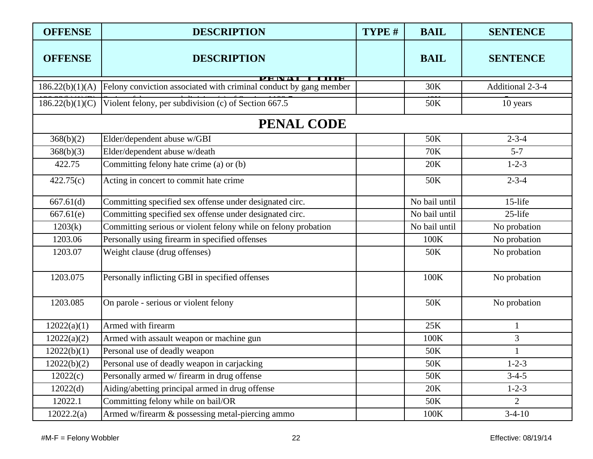| <b>OFFENSE</b>  | <b>DESCRIPTION</b>                                                                | TYPE # | <b>BAIL</b>   | <b>SENTENCE</b>  |
|-----------------|-----------------------------------------------------------------------------------|--------|---------------|------------------|
| <b>OFFENSE</b>  | <b>DESCRIPTION</b>                                                                |        | <b>BAIL</b>   | <b>SENTENCE</b>  |
| 186.22(b)(1)(A) | <b>TITIR</b><br>Felony conviction associated with criminal conduct by gang member |        | 30K           | Additional 2-3-4 |
| 186.22(b)(1)(C) | Violent felony, per subdivision (c) of Section 667.5                              |        | 50K           | 10 years         |
|                 | <b>PENAL CODE</b>                                                                 |        |               |                  |
| 368(b)(2)       | Elder/dependent abuse w/GBI                                                       |        | 50K           | $2 - 3 - 4$      |
| 368(b)(3)       | Elder/dependent abuse w/death                                                     |        | <b>70K</b>    | $5 - 7$          |
| 422.75          | Committing felony hate crime (a) or (b)                                           |        | 20K           | $1 - 2 - 3$      |
| 422.75(c)       | Acting in concert to commit hate crime                                            |        | 50K           | $2 - 3 - 4$      |
| 667.61(d)       | Committing specified sex offense under designated circ.                           |        | No bail until | 15-life          |
| 667.61(e)       | Committing specified sex offense under designated circ.                           |        | No bail until | 25-life          |
| 1203(k)         | Committing serious or violent felony while on felony probation                    |        | No bail until | No probation     |
| 1203.06         | Personally using firearm in specified offenses                                    |        | 100K          | No probation     |
| 1203.07         | Weight clause (drug offenses)                                                     |        | 50K           | No probation     |
| 1203.075        | Personally inflicting GBI in specified offenses                                   |        | 100K          | No probation     |
| 1203.085        | On parole - serious or violent felony                                             |        | 50K           | No probation     |
| 12022(a)(1)     | Armed with firearm                                                                |        | 25K           | $\mathbf{1}$     |
| 12022(a)(2)     | Armed with assault weapon or machine gun                                          |        | 100K          | 3                |
| 12022(b)(1)     | Personal use of deadly weapon                                                     |        | 50K           | $\mathbf{1}$     |
| 12022(b)(2)     | Personal use of deadly weapon in carjacking                                       |        | 50K           | $1 - 2 - 3$      |
| 12022(c)        | Personally armed w/ firearm in drug offense                                       |        | 50K           | $3-4-5$          |
| 12022(d)        | Aiding/abetting principal armed in drug offense                                   |        | 20K           | $1 - 2 - 3$      |
| 12022.1         | Committing felony while on bail/OR                                                |        | 50K           | $\overline{2}$   |
| 12022.2(a)      | Armed w/firearm & possessing metal-piercing ammo                                  |        | 100K          | $3-4-10$         |